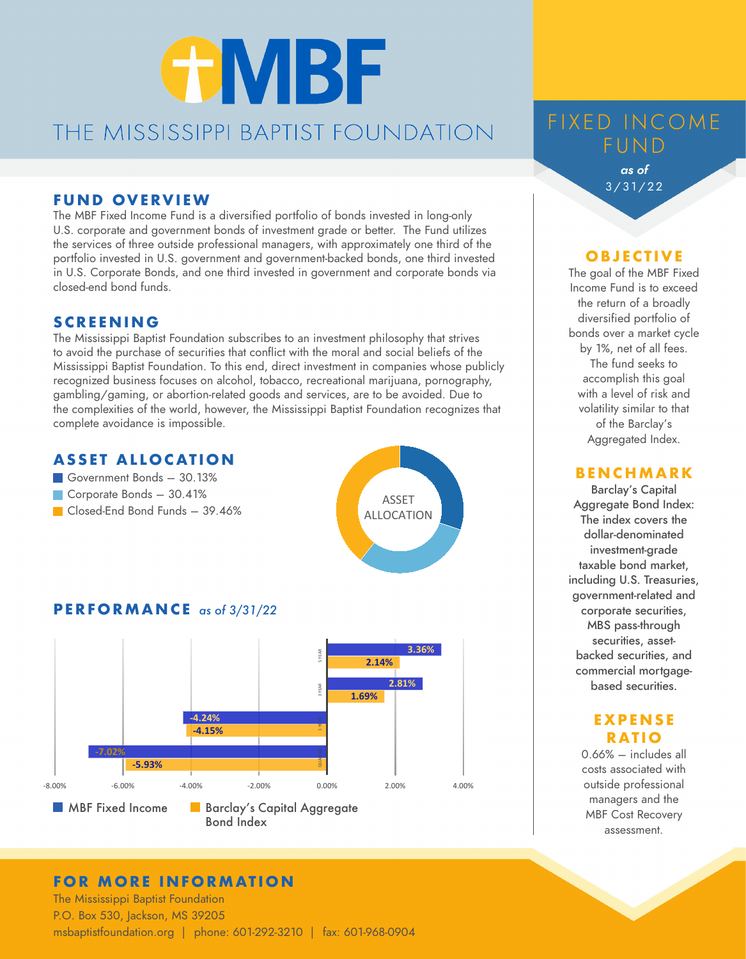# **GMBF** THE MISSISSIPPI BAPTIST FOUNDATION

#### **FUND OVERVIEW**

The MBF Fixed Income Fund is a diversified portfolio of bonds invested in long-only U.S. corporate and government bonds of investment grade or better. The Fund utilizes the services of three outside professional managers, with approximately one third of the portfolio invested in U.S. government and government-backed bonds, one third invested in U.S. Corporate Bonds, and one third invested in government and corporate bonds via closed-end bond funds.

#### **SCREENING**

The Mississippi Baptist Foundation subscribes to an investment philosophy that strives to avoid the purchase of securities that conflict with the moral and social beliefs of the Mississippi Baptist Foundation. To this end, direct investment in companies whose publicly recognized business focuses on alcohol, tobacco, recreational marijuana, pornography, gambling/gaming, or abortion-related goods and services, are to be avoided. Due to the complexities of the world, however, the Mississippi Baptist Foundation recognizes that complete avoidance is impossible.

#### **ASSET ALLOCATION**

- Government Bonds 30.13%
- Corporate Bonds 30.41%
- Closed-End Bond Funds 39.46%



### **PERFORMANCE** *as of 3/31/22*



#### **FOR MORE INFORMATION**

The Mississippi Baptist Foundation P.O. Box 530, Jackson, MS 39205 msbaptistfoundation.org | phone: 601-292-3210 | fax: 601-968-0904

## FIXED INCOME FUND

*as of*  3/31/22

#### **O B J E C T I V E**

The goal of the MBF Fixed Income Fund is to exceed the return of a broadly diversified portfolio of bonds over a market cycle by 1%, net of all fees. The fund seeks to accomplish this goal with a level of risk and volatility similar to that of the Barclay's Aggregated Index.

#### **BENCHMARK**

Barclay's Capital Aggregate Bond Index: The index covers the dollar-denominated investment-grade taxable bond market, including U.S. Treasuries, government-related and corporate securities, MBS pass-through securities, assetbacked securities, and commercial mortgagebased securities.

#### **E X P EN S E RATIO**

0.66% – includes all costs associated with outside professional managers and the MBF Cost Recovery assessment.